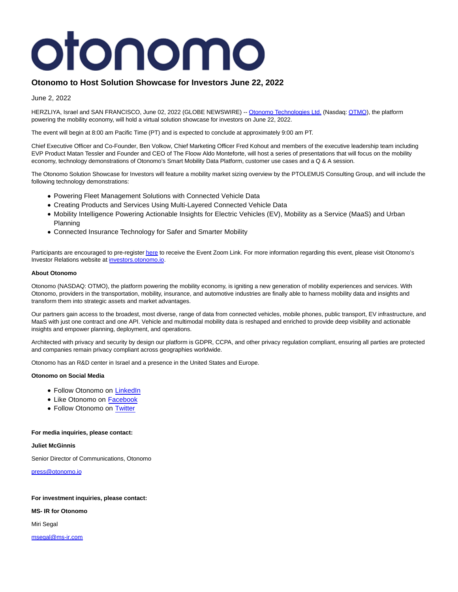# otonomo

# **Otonomo to Host Solution Showcase for Investors June 22, 2022**

June 2, 2022

HERZLIYA, Israel and SAN FRANCISCO, June 02, 2022 (GLOBE NEWSWIRE) -- [Otonomo Technologies Ltd. \(](https://www.globenewswire.com/Tracker?data=76RPbo-Ieb1yK12md_LmvZKS1SfxwG8iSLsZdwWerXLyp38srBSBixI6RPOBWjwG9uNiyP4Csf94iMhL7wVFm118ESuhZSzgmRvleymAs6Q=)Nasdaq[: OTMO\),](https://www.globenewswire.com/Tracker?data=TsReS-5AEEbDWj4nJBgthrw8KvYynk3wx4ABo_ScGk6AD8Ccr5_3g_n_itbQdnom-K6NSud_v9dd0Nqj7Z7YCg==) the platform powering the mobility economy, will hold a virtual solution showcase for investors on June 22, 2022.

The event will begin at 8:00 am Pacific Time (PT) and is expected to conclude at approximately 9:00 am PT.

Chief Executive Officer and Co-Founder, Ben Volkow, Chief Marketing Officer Fred Kohout and members of the executive leadership team including EVP Product Matan Tessler and Founder and CEO of The Floow Aldo Monteforte, will host a series of presentations that will focus on the mobility economy, technology demonstrations of Otonomo's Smart Mobility Data Platform, customer use cases and a Q & A session.

The Otonomo Solution Showcase for Investors will feature a mobility market sizing overview by the PTOLEMUS Consulting Group, and will include the following technology demonstrations:

- Powering Fleet Management Solutions with Connected Vehicle Data
- Creating Products and Services Using Multi-Layered Connected Vehicle Data
- Mobility Intelligence Powering Actionable Insights for Electric Vehicles (EV), Mobility as a Service (MaaS) and Urban Planning
- Connected Insurance Technology for Safer and Smarter Mobility

Participants are encouraged to pre-registe[r here t](https://www.globenewswire.com/Tracker?data=uTp_JjncMRwJVBfG1MgMrZ9t_07ZEOVt3cNxgCJ7V-gjXSg3Z1Vr9J1scvZw7qAeg-7UF-x_odHNRMmljS-BB_JhiS7LxMF3mca0qcvKER2e-OavRkM8d2S-PEp7mpXbRSs1mmNekWechsO16xdtAA==)o receive the Event Zoom Link. For more information regarding this event, please visit Otonomo's Investor Relations website at [investors.otonomo.io.](https://www.globenewswire.com/Tracker?data=MFH6lNkVkDyShv3Tj3VNfSBBy7vtMot3KR6EqlzVwIxJox7YdpUiZoiJ6UFkqTJ4beIb57f6vMHHe7GQglJRJLfVhNbZ_Tx0wrq6YJ3cPRg=)

## **About Otonomo**

Otonomo (NASDAQ: OTMO), the platform powering the mobility economy, is igniting a new generation of mobility experiences and services. With Otonomo, providers in the transportation, mobility, insurance, and automotive industries are finally able to harness mobility data and insights and transform them into strategic assets and market advantages.

Our partners gain access to the broadest, most diverse, range of data from connected vehicles, mobile phones, public transport, EV infrastructure, and MaaS with just one contract and one API. Vehicle and multimodal mobility data is reshaped and enriched to provide deep visibility and actionable insights and empower planning, deployment, and operations.

Architected with privacy and security by design our platform is GDPR, CCPA, and other privacy regulation compliant, ensuring all parties are protected and companies remain privacy compliant across geographies worldwide.

Otonomo has an R&D center in Israel and a presence in the United States and Europe.

### **Otonomo on Social Media**

- Follow Otonomo on [LinkedIn](https://www.linkedin.com/company/otonomo)
- Like Otonomo on [Facebook](https://www.facebook.com/otonomo.io)
- Follow Otonomo on [Twitter](https://twitter.com/otonomo_)

#### **For media inquiries, please contact:**

**Juliet McGinnis**

Senior Director of Communications, Otonomo

[press@otonomo.io](https://www.globenewswire.com/Tracker?data=kDr_qhdWgX7lEcQqlI9UYUoVX_F4mlt-uz3Ydlmi8m2cXsUUCtQcX0yyOBJSmP7uv4lVQG6FpNY7qwVfB78gGA==)

### **For investment inquiries, please contact:**

**MS- IR for Otonomo**

Miri Segal

[msegal@ms-ir.com](https://www.globenewswire.com/Tracker?data=5HDIsE9ZmasSzVX3EmznnFFgCxujEVs81vU-Damt2zfmGm86-xBBpswvwK2ANc3PQ5Mk6XAt3hjtBjAiDYcxWQ==)